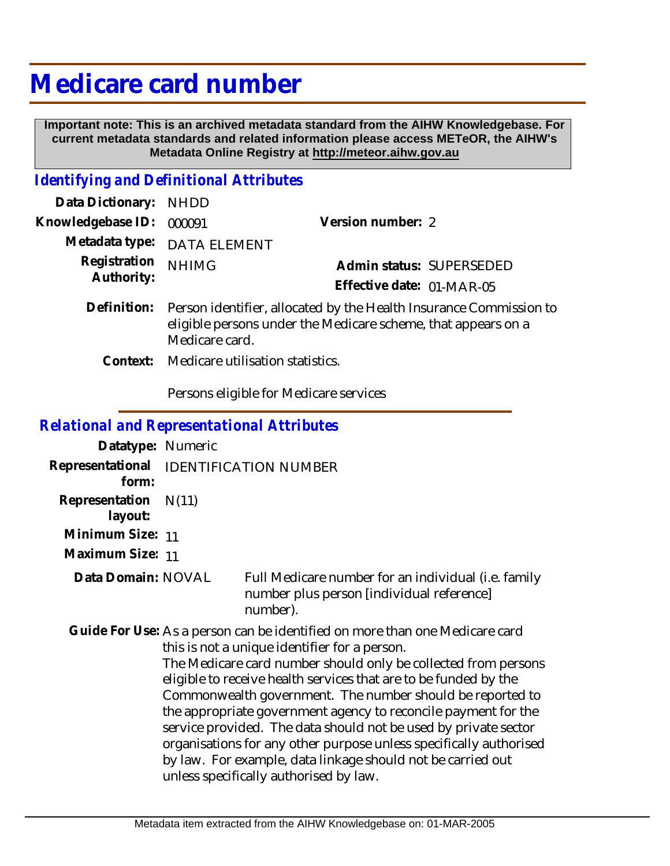# **Medicare card number**

 **Important note: This is an archived metadata standard from the AIHW Knowledgebase. For current metadata standards and related information please access METeOR, the AIHW's Metadata Online Registry at http://meteor.aihw.gov.au**

## *Identifying and Definitional Attributes*

| Data Dictionary: NHDD      |                                                                                                                                                       |                           |                          |
|----------------------------|-------------------------------------------------------------------------------------------------------------------------------------------------------|---------------------------|--------------------------|
| Knowledgebase ID:          | 000091                                                                                                                                                | Version number: 2         |                          |
|                            | Metadata type: DATA ELEMENT                                                                                                                           |                           |                          |
| Registration<br>Authority: | <b>NHIMG</b>                                                                                                                                          | Effective date: 01-MAR-05 | Admin status: SUPERSEDED |
| Definition:                | Person identifier, allocated by the Health Insurance Commission to<br>eligible persons under the Medicare scheme, that appears on a<br>Medicare card. |                           |                          |

Context: Medicare utilisation statistics.

Persons eligible for Medicare services

#### *Relational and Representational Attributes*

| Datatype: Numeric                               |       |                                                                                                                                                                                                                                                                                                                                                                                                                                                                                                                                                                                                                                                     |
|-------------------------------------------------|-------|-----------------------------------------------------------------------------------------------------------------------------------------------------------------------------------------------------------------------------------------------------------------------------------------------------------------------------------------------------------------------------------------------------------------------------------------------------------------------------------------------------------------------------------------------------------------------------------------------------------------------------------------------------|
| Representational IDENTIFICATION NUMBER<br>form: |       |                                                                                                                                                                                                                                                                                                                                                                                                                                                                                                                                                                                                                                                     |
| Representation<br>layout:                       | N(11) |                                                                                                                                                                                                                                                                                                                                                                                                                                                                                                                                                                                                                                                     |
| Minimum Size: 11                                |       |                                                                                                                                                                                                                                                                                                                                                                                                                                                                                                                                                                                                                                                     |
| Maximum Size: 11                                |       |                                                                                                                                                                                                                                                                                                                                                                                                                                                                                                                                                                                                                                                     |
| Data Domain: NOVAL                              |       | Full Medicare number for an individual (i.e. family<br>number plus person [individual reference]<br>number).                                                                                                                                                                                                                                                                                                                                                                                                                                                                                                                                        |
|                                                 |       | Guide For Use: As a person can be identified on more than one Medicare card<br>this is not a unique identifier for a person.<br>The Medicare card number should only be collected from persons<br>eligible to receive health services that are to be funded by the<br>Commonwealth government. The number should be reported to<br>the appropriate government agency to reconcile payment for the<br>service provided. The data should not be used by private sector<br>organisations for any other purpose unless specifically authorised<br>by law. For example, data linkage should not be carried out<br>unless specifically authorised by law. |